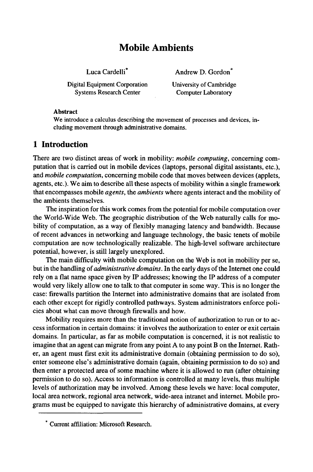# **Mobile Ambients**

Luca Cardelli\*

Digital Equipment Corporation Systems Research Center

Andrew D. Gordon\*

University of Cambridge Computer Laboratory

### **Abstract**

We introduce a calculus describing the movement of processes and devices, including movement through administrative domains.

# **I Introduction**

There are two distinct areas of work in mobility: *mobile computing,* concerning computation that is carried out in mobile devices (laptops, personal digital assistants, etc.), and *mobile computation,* concerning mobile code that moves between devices (applets, agents, etc.). We aim to describe all these aspects of mobility within a single framework that encompasses mobile *agents, the ambients* where agents interact and the mobility of the ambients themselves.

The inspiration for this work comes from the potential for mobile computation over the World-Wide Web. The geographic distribution of the Web naturally calls for mobility of computation, as a way of flexibly managing latency and bandwidth. Because of recent advances in networking and language technology, the basic tenets of mobile computation are now technologically realizable. The high-level software architecture potential, however, is still largely unexplored.

The main difficulty with mobile computation on the Web is not in mobility per se, but in the handling *of administrative domains.* In the early days of the Internet one could rely on a flat name space given by IP addresses; knowing the IP address of a computer would very likely allow one to talk to that computer in some way. This is no longer the case: firewalls partition the Internet into administrative domains that are isolated from each other except for rigidly controlled pathways. System administrators enforce policies about what can move through firewalls and how.

Mobility requires more than the traditional notion of authorization to run or to access information in certain domains: it involves the authorization to enter or exit certain domains. In particular, as far as mobile computation is concerned, it is not realistic to imagine that an agent can migrate from any point A to any point B on the Internet. Rather, an agent must first exit its administrative domain (obtaining permission to do so), enter someone else's administrative domain (again, obtaining permission to do so) and then enter a protected area of some machine where it is allowed to run (after obtaining permission to do so). Access to information is controlled at many levels, thus multiple levels of authorization may be involved. Among these levels we have: local computer, local area network, regional area network, wide-area intranet and internet. Mobile programs must be equipped to navigate this hierarchy of administrative domains, at every

<sup>\*</sup> Current affiliation: Microsoft Research.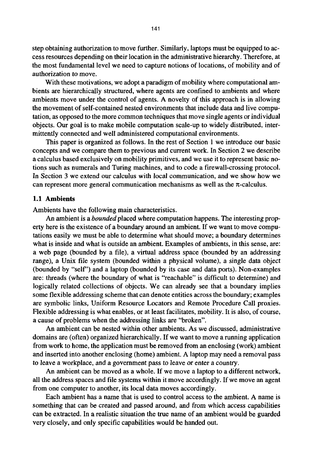step obtaining authorization to move further. Similarly, laptops must be equipped to access resources depending on their location in the administrative hierarchy. Therefore, at the most fundamental level we need to capture notions of locations, of mobility and of authorization to move.

With these motivations, we adopt a paradigm of mobility where computational ambients are hierarchically structured, where agents are confined to ambients and where ambients move under the control of agents. A novelty of this approach is in allowing the movement of self-contained nested environments that include data and live computation, as opposed to the more common techniques that move single agents or individual objects. Our goal is to make mobile computation scale-up to widely distributed, intermittently connected and well administered computational environments.

This paper is organized as follows. In the rest of Section 1 we introduce our basic concepts and we compare them to previous and current work. In Section 2 we describe a calculus based exclusively on mobility primitives, and we use it to represent basic notions such as numerals and Turing machines, and to code a firewall-crossing protocol. In Section 3 we extend our calculus with local communication, and we show how we can represent more general communication mechanisms as well as the  $\pi$ -calculus.

### **1.1 Ambients**

Ambients have the following main characteristics.

An ambient is a *bounded* placed where computation happens. The interesting property here is the existence of a boundary around an ambient. If we want to move computations easily we must be able to determine what should move; a boundary determines what is inside and what is outside an ambient. Examples of ambients, in this sense, are: a web page (bounded by a file), a virtual address space (bounded by an addressing range), a Unix file system (bounded within a physical volume), a single data object (bounded by "self") and a laptop (bounded by its case and data ports). Non-examples are: threads (where the boundary of what is "reachable" is difficult to determine) and logically related collections of objects. We can already see that a boundary implies some flexible addressing scheme that can denote entities across the boundary; examples are symbolic links, Uniform Resource Locators and Remote Procedure Call proxies. Flexible addressing is what enables, or at least facilitates, mobility. It is also, of course, a cause of problems when the addressing links are "broken".

An ambient can be nested within other ambients. As we discussed, administrative domains are (often) organized hierarchically. If we want to move a running application from work to home, the application must be removed from an enclosing (work) ambient and inserted into another enclosing (home) ambient. A laptop may need a removal pass to leave a workplace, and a government pass to leave or enter a country.

An ambient can be moved as a whole. If we move a laptop to a different network, all the address spaces and file systems within it move accordingly. If we move an agent from one computer to another, its local data moves accordingly.

Each ambient has a name that is used to control access to the ambient. A name is something that can be created and passed around, and from which access capabilities can be extracted. In a realistic situation the true name of an ambient would be guarded very closely, and only specific capabilities would be handed out.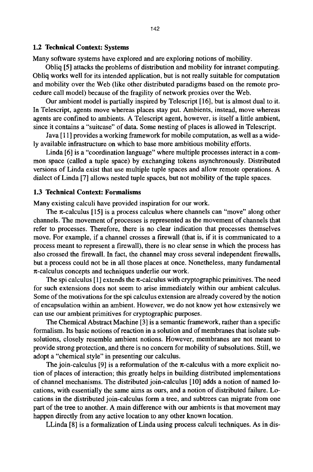### 1.2 Technical **Context: Systems**

Many software systems have explored and are exploring notions of mobility.

Obliq [5] attacks the problems of distribution and mobility for intranet computing. Obliq works well for its intended application, but is not really suitable for computation and mobility over the Web (like other distributed paradigms based on the remote procedure call model) because of the fragility of network proxies over the Web.

Our ambient model is partially inspired by Telescript [16], but is almost dual to it. In Telescript, agents move whereas places stay put. Ambients, instead, move whereas agents are confined to ambients. A Telescript agent, however, is itself a little ambient, since it contains a "suitcase" of data. Some nesting of places is allowed in Telescript.

Java [ 11 ] provides a working framework for mobile computation, as well as a widely available infrastructure on which to base more ambitious mobility efforts.

Linda [6] is a "coordination language" where multiple processes interact in a common space (called a tuple space) by exchanging tokens asynchronously. Distributed versions of Linda exist that use multiple tuple spaces and allow remote operations. A dialect of Linda [7] allows nested tuple spaces, but not mobility of the tuple spaces.

### **1.3 Technical Context: Formalisms**

Many existing calculi have provided inspiration for our work.

The  $\pi$ -calculus [15] is a process calculus where channels can "move" along other channels. The movement of processes is represented as the movement of channels that refer to processes. Therefore, there is no clear indication that processes themselves move. For example, if a channel crosses a firewall (that is, if it is communicated to a process meant to represent a firewall), there is no clear sense in which the process has also crossed the firewall. In fact, the channel may cross several independent firewalls, but a process could not be in all those places at once. Nonetheless, many fundamental  $\pi$ -calculus concepts and techniques underlie our work.

The spi calculus  $[1]$  extends the  $\pi$ -calculus with cryptographic primitives. The need for such extensions does not seem to arise immediately within our ambient calculus. Some of the motivations for the spi calculus extension are already covered by the notion of encapsulation within an ambient. However, we do not know yet how extensively we can use our ambient primitives for cryptographic purposes.

The Chemical Abstract Machine [3] is a semantic framework, rather than a specific formalism. Its basic notions of reaction in a solution and of membranes that isolate subsolutions, closely resemble ambient notions. However, membranes are not meant to provide strong protection, and there is no concern for mobility of subsolutions. Still, we adopt a "chemical style" in presenting our calculus.

The join-calculus [9] is a reformulation of the  $\pi$ -calculus with a more explicit notion of places of interaction; this greatly helps in building distributed implementations of channel mechanisms. The distributed join-calculus [10] adds a notion of named locations, with essentially the same aims as ours, and a notion of distributed failure. Locations in the distributed join-calculus form a tree, and subtrees can migrate from one part of the tree to another. A main difference with our ambients is that movement may happen directly from any active location to any other known location.

LLinda [8] is a formalization of Linda using process calculi techniques. As in dis-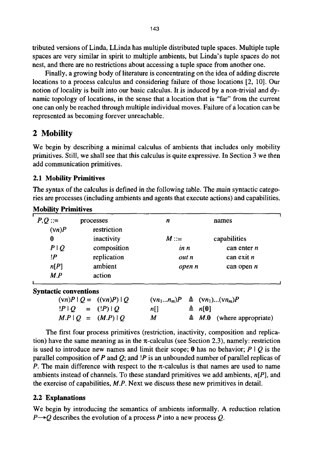tributed versions of Linda, LLinda has multiple distributed tuple spaces. Multiple tuple spaces are very similar in spirit to multiple ambients, but Linda's tuple spaces do not nest, and there are no restrictions about accessing a tuple space from another one.

Finally, a growing body of literature is concentrating on the idea of adding discrete locations to a process calculus and considering failure of those locations [2, 10]. Our notion of locality is built into our basic calculus. It is induced by a non-trivial and dynamic topology of locations, in the sense that a location that is "far" from the current one can only be reached through multiple individual moves. Failure of  $\dot{a}$  location can be represented as becoming forever unreachable.

# **2 Mobility**

We begin by describing a minimal calculus of ambients that includes only mobility primitives. Still, we shall see that this calculus is quite expressive. In Section 3 we then add communication primitives.

# **2.1 Mobility Primitives**

**Mobility Primitives** 

The syntax of the calculus is defined in the following table. The main syntactic categories are processes (including ambients and agents that execute actions) and capabilities.

| $P,Q ::=$<br>(vn)P           | processes<br>restriction    | n                                                          | names               |
|------------------------------|-----------------------------|------------------------------------------------------------|---------------------|
| $\bf{0}$                     | inactivity                  | $M ::=$                                                    | capabilities        |
| $P \mid Q$                   | composition                 | in n                                                       | can enter $n$       |
| !P                           | replication                 | out n                                                      | can exit $n$        |
| n[P]                         | ambient                     | open n                                                     | can open $n$        |
| M.P                          | action                      |                                                            |                     |
| <b>Syntactic conventions</b> |                             |                                                            |                     |
|                              | $(vn)P   Q = ((vn)P)   Q$   | $(\forall n_1n_m)P \triangleq (\forall n_1)(\forall n_m)P$ |                     |
|                              | $ P Q = (P) Q$              | $\triangleq n[0]$<br>n[]                                   |                     |
|                              | $M.P \mid Q = (M.P) \mid Q$ | $\triangleq M.0$<br>M                                      | (where appropriate) |

The first four process primitives (restriction, inactivity, composition and replication) have the same meaning as in the  $\pi$ -calculus (see Section 2.3), namely: restriction is used to introduce new names and limit their scope; 0 has no behavior;  $P \mid Q$  is the parallel composition of P and Q; and  $\overline{P}$  is an unbounded number of parallel replicas of P. The main difference with respect to the  $\pi$ -calculus is that names are used to name ambients instead of channels. To these standard primitives we add ambients, *n[P],* and the exercise of capabilities, *M.P.* Next we discuss these new primitives in detail.

# **2.2 Explanations**

We begin by introducing the semantics of ambients informally. A reduction relation  $P\rightarrow Q$  describes the evolution of a process P into a new process Q.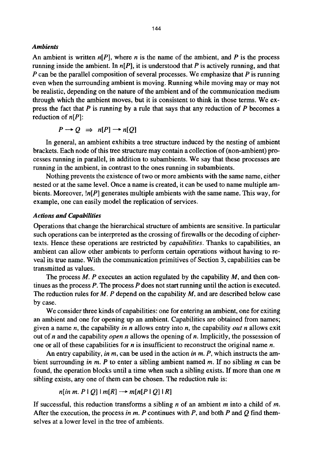#### *Ambients*

An ambient is written  $n[P]$ , where *n* is the name of the ambient, and *P* is the process running inside the ambient. In  $n[P]$ , it is understood that P is actively running, and that  $P$  can be the parallel composition of several processes. We emphasize that  $P$  is running even when the surrounding ambient is moving. Running while moving may or may not be realistic, depending on the nature of the ambient and of the communication medium through which the ambient moves, but it is consistent to think in those terms. We express the fact that  $P$  is running by a rule that says that any reduction of  $P$  becomes a reduction of  $n[*P*]$ :

 $P \rightarrow O \Rightarrow n[P] \rightarrow n[O]$ 

In general, an ambient exhibits a tree structure induced by the nesting of ambient brackets. Each node of this tree structure may contain a collection of (non-ambient) processes running in parallel, in addition to subambients. We say that these processes are running in the ambient, in contrast to the ones running in subambients.

Nothing prevents the existence of two or more ambients with the same name, either nested or at the same level. Once a name is created, it can be used to name multiple ambients. Moreover, *!n[P]* generates multiple ambients with the same name. This way, for example, one can easily model the replication of services.

### *Actions and Capabilities*

Operations that change the hierarchical structure of ambients are sensitive. In particular such operations can be interpreted as the crossing of firewalls or the decoding of ciphertexts. Hence these operations are restricted by *capabilities.* Thanks to capabilities, an ambient can allow other ambients to perform certain operations without having to reveal its true name. With the communication primitives of Section 3, capabilities can be transmitted as values.

The process  $M$ . P executes an action regulated by the capability  $M$ , and then continues as the process  $P$ . The process  $P$  does not start running until the action is executed. The reduction rules for  $M$ . P depend on the capability  $M$ , and are described below case by case.

We consider three kinds of capabilities: one for entering an ambient, one for exiting an ambient and one for opening up an ambient. Capabilities are obtained from names; given a name n, the capability *in n* allows entry into n, the capability *out n* allows exit out of n and the capability *open n* allows the opening of n. Implicitly, the possession of one or all of these capabilities for  $n$  is insufficient to reconstruct the original name  $n$ .

An entry capability, *in m,* can be used in the action *in m. P,* which instructs the ambient surrounding *in m. P* to enter a sibling ambient named m. If no sibling m can be found, the operation blocks until a time when such a sibling exists. If more than one  $m$ sibling exists, any one of them can be chosen. The reduction rule is:

$$
n[in m. P \mid Q] \mid m[R] \rightarrow m[n[P \mid Q] \mid R]
$$

If successful, this reduction transforms a sibling n of an ambient m into a child of m. After the execution, the process *in m. P* continues with P, and both P and Q find themselves at a lower level in the tree of ambients.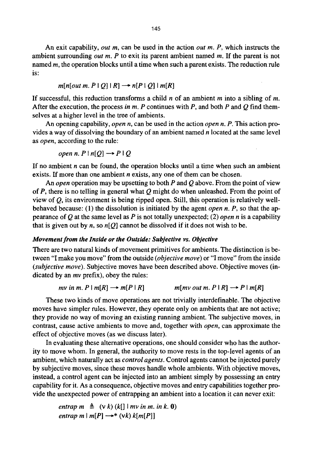An exit capability, *out m,* can be used in the action *out m. P,* which instructs the ambient surrounding *out m. P* to exit its parent ambient named m. If the parent is not named  $m$ , the operation blocks until a time when such a parent exists. The reduction rule is:

$$
m[n[out m. P | Q] | R] \rightarrow n[P | Q] | m[R]
$$

If successful, this reduction transforms a child  $n$  of an ambient  $m$  into a sibling of  $m$ . After the execution, the process *in m. P* continues with P, and both P and Q find themselves at a higher level in the tree of ambients.

An opening capability, *open n*, can be used in the action *open n. P.* This action provides a way of dissolving the boundary of an ambient named  $n$  located at the same level as *open,* according to the rule:

*open n*. 
$$
P \mid n[Q] \rightarrow P \mid Q
$$

If no ambient  $n$  can be found, the operation blocks until a time when such an ambient exists. If more than one ambient  $n$  exists, any one of them can be chosen.

An *open* operation may be upsetting to both  $P$  and  $Q$  above. From the point of view of  $P$ , there is no telling in general what  $Q$  might do when unleashed. From the point of view of Q, its environment is being ripped open. Still, this operation is relatively wellbehaved because: (1) the dissolution is initiated by the agent *open n. P,* so that the appearance of Q at the same level as P is not totally unexpected; (2) *open n* is a capability that is given out by n, so  $n[Q]$  cannot be dissolved if it does not wish to be.

### *Movement from the Inside or the Outside: Subjective vs. Objective*

There are two natural kinds of movement primitives for ambients. The distinction is between "I make you move" from the outside *(objective move)* or "I move" from the inside *(subjective move).* Subjective moves have been described above. Objective moves (indicated by an *my* prefix), obey the rules:

$$
mv \text{ in } m. P \mid m[R] \rightarrow m[P \mid R] \qquad m[mv \text{ out } m. P \mid R] \rightarrow P \mid m[R]
$$

These two kinds of move operations are not trivially interdefinable. The objective moves have simpler rules. However, they operate only on ambients that are not active; they provide no way of moving an existing running ambient. The subjective moves, in contrast, cause active ambients to move and, together with *open,* can approximate the effect of objective moves (as we discuss later).

In evaluating these alternative operations, one should consider who has the authority to move whom. In general, the authority to move rests in the top-level agents of an ambient, which naturally act as *control agents.* Control agents cannot be injected purely by subjective moves, since these moves handle whole ambients. With objective moves, instead, a control agent can be injected into an ambient simply by possessing an entry capability for it. As a consequence, objective moves and entry capabilities together provide the unexpected power of entrapping an ambient into a location it can never exit:

```
entrap m \triangleq (v k) (k] \mid mv in m. in k. 0)
entrap m \mid m[P] \rightarrow^* (vk) k[m[P]]
```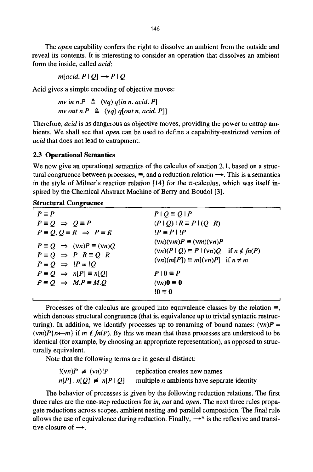*The open* capability confers the right to dissolve an ambient from the outside and reveal its contents. It is interesting to consider an operation that dissolves an ambient form the inside, called *acid:* 

 $m[acid, P | O] \rightarrow P | O$ 

Acid gives a simple encoding of objective moves:

 $mv$  in  $nP \triangleq (vq)$  *g[in n. acid. P]*  $mv$  *out n.P*  $\triangleq$  (vq) *q[out n. acid. P*]]

Therefore, *acid* is as dangerous as objective moves, providing the power to entrap ambients. We shall see that *open* can be used to define a capability-restricted version of *acid* that does not lead to entrapment.

#### **2.3 Operational Semantics**

We now give an operational semantics of the calculus of section 2.1, based on a structural congruence between processes,  $\equiv$ , and a reduction relation  $\rightarrow$ . This is a semantics in the style of Milner's reaction relation [14] for the  $\pi$ -calculus, which was itself inspired by the Chemical Abstract Machine of Berry and Boudol [3].

### **Structural Congruence**

| $P \equiv P$                                                                                                                       | $P \mid Q \equiv Q \mid P$                                                                                                             |
|------------------------------------------------------------------------------------------------------------------------------------|----------------------------------------------------------------------------------------------------------------------------------------|
| $P \equiv Q \Rightarrow Q \equiv P$                                                                                                | $(P   Q)   R \equiv P   (Q   R)$                                                                                                       |
| $P \equiv Q$ , $Q \equiv R \implies P \equiv R$                                                                                    | $P \equiv P \mid P$                                                                                                                    |
| $P \equiv Q \Rightarrow (vn)P \equiv (vn)Q$<br>$P \equiv Q \Rightarrow P   R \equiv Q   R$<br>$P \equiv Q \Rightarrow IP \equiv Q$ | $(vn)(vm)P \equiv (vm)(vn)P$<br>$(vn)(P \mid Q) \equiv P \mid (vn)Q$ if $n \notin fn(P)$<br>$(vn)(m[P]) \equiv m[(vn)P]$ if $n \neq m$ |
| $P \equiv Q \Rightarrow n[P] \equiv n[Q]$                                                                                          | $P \mid 0 \equiv P$                                                                                                                    |
| $P \equiv Q \Rightarrow M.P \equiv M.Q$                                                                                            | $(vn)0 \equiv 0$                                                                                                                       |
|                                                                                                                                    | $10 = 0$                                                                                                                               |
|                                                                                                                                    |                                                                                                                                        |

Processes of the calculus are grouped into equivalence classes by the relation  $\equiv$ , which denotes structural congruence (that is, equivalence up to trivial syntactic restructuring). In addition, we identify processes up to renaming of bound names:  $(vn)P =$  $(vm)P\{n\leftarrow m\}$  if  $m \notin fn(P)$ . By this we mean that these processes are understood to be identical (for example, by choosing an appropriate representation), as opposed to structurally equivalent.

**I I** 

Note that the following terms are in general distinct:

| $!(\nu n)P \not\equiv (\nu n)!P$ | replication creates new names                |
|----------------------------------|----------------------------------------------|
| $n[P]   n[Q] \neq n[P   Q]$      | multiple $n$ ambients have separate identity |

The behavior of processes is given by the following reduction relations. The first three rules are the one-step reductions for *in, out* and *open*. The next three rules propagate reductions across scopes, ambient nesting and parallel composition. The final rule allows the use of equivalence during reduction. Finally,  $\rightarrow^*$  is the reflexive and transitive closure of  $\rightarrow$ .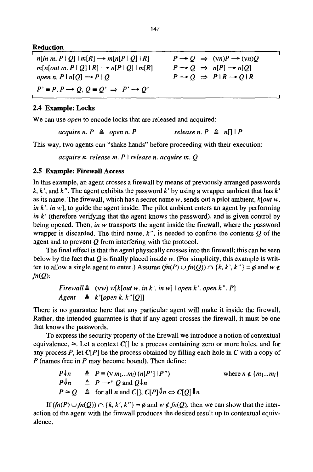$\overline{P \rightarrow Q}$   $\rightarrow$   $\overline{P \rightarrow Q}$   $\rightarrow$   $\overline{Q \rightarrow Q}$   $\rightarrow$   $\overline{Q \rightarrow Q}$   $\rightarrow$   $\overline{Q \rightarrow Q}$   $\rightarrow$   $\overline{Q \rightarrow Q}$  $m[n[out \ m. P | Q] | R] \rightarrow n[P | Q] | m[R]$   $P \rightarrow Q \Rightarrow n[P] \rightarrow n[Q]$  $open~n. P|n[Q] \rightarrow P|Q$   $P \rightarrow Q \Rightarrow P|R \rightarrow Q|R$  $P' \equiv P, P \rightarrow Q, Q \equiv Q' \Rightarrow P' \rightarrow Q'$ 

*I I* 

## **2.4 Example: Locks**

We can use *open* to encode locks that are released and acquired:

 $acquire n. P \triangleq open n. P$  release n.  $P \triangleq n[1 | P$ 

This way, two agents can "shake hands" before proceeding with their execution:

*acquire n. release m. P I release n. acquire m. Q* 

## **2.5 Example: Firewall Access**

In this example, an agent crosses a firewall by means of previously arranged passwords k, k', and k". The agent exhibits the password k' by using a wrapper ambient that has  $k'$ as its name. The firewall, which has a secret name w, sends out a pilot ambient, *k[out w. in k'. in w*], to guide the agent inside. The pilot ambient enters an agent by performing *in k'* (therefore verifying that the agent knows the password), and is given control by being opened. Then, *in w* transports the agent inside the firewall, where the password wrapper is discarded. The third name,  $k$ ", is needed to confine the contents  $Q$  of the agent and to prevent Q from interfering with the protocol.

The final effect is that the agent physically crosses into the firewall; this can be seen below by the fact that  $Q$  is finally placed inside w. (For simplicity, this example is written to allow a single agent to enter.) Assume  $(fn(P) \cup fr(Q)) \cap \{k, k', k''\} = \emptyset$  and w  $\notin$  $fn(Q)$ :

> *Firewall*  $\triangleq$  (vw)  $w[k[out w.in k'. in w] \mid open k'. open k''. P]$ *Agent*  $\triangleq k'$ [*open k. k*"[*Q*]]

There is no guarantee here that any particular agent will make it inside the firewall. Rather, the intended guarantee is that if any agent crosses the firewall, it must be one that knows the passwords.

To express the security property of the firewall we introduce a notion of contextual equivalence,  $\simeq$ . Let a context C[] be a process containing zero or more holes, and for any process P, let  $C[P]$  be the process obtained by filling each hole in C with a copy of  $P$  (names free in  $P$  may become bound). Then define:

$$
P \n\downarrow n \qquad \triangleq \quad P \equiv (\vee m_1...m_i) \ (n[P'] \mid P'') \qquad \text{where } n \notin \{m_1...m_i\} \newline P \Downarrow n \qquad \triangleq \quad P \rightarrow^* Q \text{ and } Q \Downarrow n \newline P \simeq Q \qquad \triangleq \text{ for all } n \text{ and } C[, C[P] \Downarrow n \Leftrightarrow C[Q] \Downarrow n
$$

If  $(fn(P) \cup fn(Q)) \cap \{k, k', k''\} = \emptyset$  and  $w \notin fn(Q)$ , then we can show that the interaction of the agent with the firewall produces the desired result up to contextual equivalence.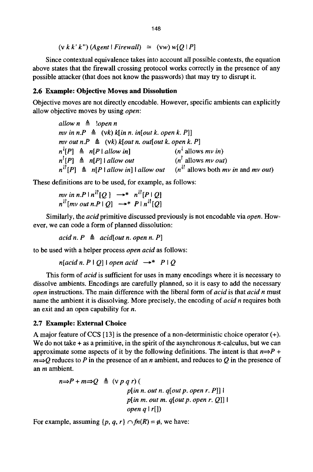$(v \, k \, k' \, k'')$  (Agent | Firewall)  $\approx$   $(vw) w[Q | P]$ 

Since contextual equivalence takes into account all possible contexts, the equation above states that the firewall crossing protocol works correctly in the presence of any possible attacker (that does not know the passwords) that may try to disrupt it.

## **2.6 Example: Objective Moves and Dissolution**

Objective moves are not directly encodable. However, specific ambients can explicitly allow objective moves by using *open:* 

> *allow*  $n \triangleq$  *lopen n*  $mv$  in  $n.P \triangleq (vk)$  *k*[in *n.* in[out *k.* open *k. P*]]  $mv$  *out n.P*  $\triangleq$  (vk)  $k[out\ n. \ out[out\ k. \ open\ k. \ P]$  $n'[P] \triangleq n[P | allow in]$  (*n'* allows *mv in*)  $n'[P] \triangleq n[P] | allow out$  (*n'* allows *my out*)  $n''[P] \triangleq n[P | allow in] | allow out (n'' allows both mv in and mv out)$

These definitions are to be used, for example, as follows:

$$
mv \text{ in } n.P \mid n^{l} [Q] \longrightarrow^* n^{l} [P \mid Q]
$$
  

$$
n^{l} [mv \text{ out } n.P \mid Q] \longrightarrow^* P \mid n^{l} [Q]
$$

Similarly, the *acid* primitive discussed previously is not encodable via *open.* However, we can code a form of planned dissolution:

*acid n. P*  $\triangleq$  *acid*[*out n. open n. P*]

to be used with a helper process *open acid* as follows:

```
n[acid\ n.P | O] | open\ acid \rightarrow^* P | O
```
This form of *acid* is sufficient for uses in many encodings where it is necessary to dissolve ambients. Encodings are carefully planned, so it is easy to add the necessary *open* instructions. The main difference with the liberal form of *acid* is that *acid n* must name the ambient it is dissolving. More precisely, the encoding of *acid n* requires both an exit and an open capability for  $n$ .

# **2.7 Example: External Choice**

A major feature of CCS [13] is the presence of a non-deterministic choice operator  $(+)$ . We do not take  $+$  as a primitive, in the spirit of the asynchronous  $\pi$ -calculus, but we can approximate some aspects of it by the following definitions. The intent is that  $n \Rightarrow P$  +  $m\Rightarrow Q$  reduces to P in the presence of an n ambient, and reduces to Q in the presence of an m ambient.

 $n \Rightarrow P + m \Rightarrow Q \triangleq (v p q r)$ *p[in n. out n. q[out p. open r.* P]] I *p[in m. out m. q[out p. open r.* Q]] I *open*  $q \mid r[\]$ 

For example, assuming  $\{p, q, r\} \cap fh(R) = \emptyset$ , we have: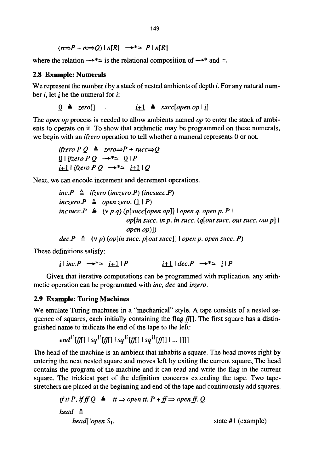$(n \Rightarrow P + m \Rightarrow Q)$  |  $n[R] \rightarrow^* \approx P | n[R]$ 

where the relation  $\rightarrow^* \simeq$  is the relational composition of  $\rightarrow^*$  and  $\simeq$ .

### **2.8 Example: Numerals**

We represent the number  $i$  by a stack of nested ambients of depth  $i$ . For any natural number *i*, let *i* be the numeral for *i*:

 $0 \triangleq$  *zero*[]  $i+1 \triangleq$  *succ[open op | i*]

*The open op* process is needed to allow ambients named *op* to enter the stack of ambients to operate on it. To show that arithmetic may be programmed on these numerals, we begin with an *ifzero* operation to tell whether a numeral represents 0 or not.

*ifzero P Q* 
$$
\triangleq
$$
 *zero* $\Rightarrow$ *P* + *succ* $\Rightarrow$ *Q*  
Q | *ifzero P Q*  $\rightarrow$ <sup>\*</sup> $\simeq$  Q | *P*  
*i*+1 | *ifzero P Q*  $\rightarrow$ <sup>\*</sup> $\simeq$  *i*+1 | *Q*

Next, we can encode increment and decrement operations.

 $inc.P \triangleq$  *ifzero (inczero.P) (incsucc.P)*  $inczero.P \triangleq open zero. (1 | P)$  $incsucc.P \triangleq (v p q) (p[succ[open op]] \mid open q. open p. P)$ *op[in succ. in p. in succ. (q[out succ. out succ. out p] I open* op)])  $dec.P \triangleq$  (v *p*) (op[in succ. p[out succ]]  $\vert$  open p. open succ. P)

These definitions satisfy:

 $i|inc.P \rightarrow^* \simeq i+1|P$   $i+1|dec.P \rightarrow^* \simeq i|P$ 

Given that iterative computations can be programmed with replication, any arithmetic operation can be programmed with *inc, dec* and *iszero.* 

### **2.9 Example: Turing Machines**

We emulate Turing machines in a "mechanical" style. A tape consists of a nested sequence of squares, each initially containing the flag  $f_{\parallel}$ . The first square has a distinguished name to indicate the end of the tape to the left:

$$
end^{1\dagger}[f\!f] |sq^{1\dagger}[f\!f] |sq^{1\dagger}[f\!f] |sq^{1\dagger}[f\!f] |...]]]
$$

The head of the machine is an ambient that inhabits a square. The head moves right by entering the next nested square and moves left by exiting the current square.. The head contains the program of the machine and it can read and write the flag in the current square. The trickiest part of the definition concerns extending the tape. Two tapestretchers are placed at the beginning and end of the tape and continuously add squares.

if 
$$
tt P
$$
, if  $fQ \triangleq tt \Rightarrow open \, tt$ .  $P + ff \Rightarrow open \, ff$ .  $Q$   
\n $head \triangleq$   
\n $head[!open \, S_1]$ .  
\n $state \#1 \, (example)$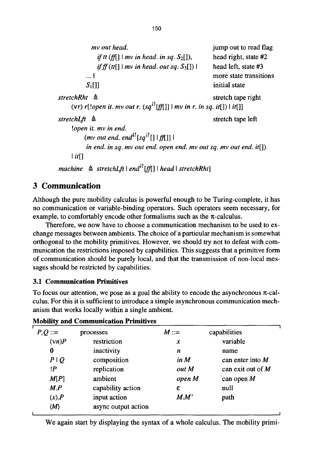```
mv out head. 
               if tt (ff[] \vert mv in head. in sq. S<sub>2</sub>[]),
               if ff (tt[] | mv in head. out sq. S_3[]) |
           ... [ 
          S_1[]]
stretchRht \triangleqjump out to read flag
                                                             head right, state #2 
                                                             head left, state #3 
                                                             more state transitions 
                                                             initial state 
                                                             stretch tape right 
     (vr) r[!open it. mv out r. (sq^{i|} [f]] | mv in r. in sq. it[]) | it[]]
stretchLft ≙ stretch tape left
     !open it. mv in end. 
          (mv \text{ out end. end}^{\text{lf}}[sa^{\text{lf}}]] Iff[]] I
          in end. in sq. mv out end. open end. mv out sq. mv out end. it[])
     |it[]
```
 $machine \triangleq stretchLft$  | end<sup>||</sup> [ff[] | head | stretchRht]

# **3 Communication**

Although the pure mobility calculus is powerful enough to be Turing-complete, it has no communication or variable-binding operators. Such operators seem necessary, for example, to comfortably encode other formalisms such as the  $\pi$ -calculus.

Therefore, we now have to choose a communication mechanism to be used to exchange messages between ambients. The choice of a particular mechanism is somewhat orthogonal to the mobility primitives. However, we should try not to defeat with communication the restrictions imposed by capabilities. This suggests that a primitive form of communication should be purely local, and that the transmission of non-local messages should be restricted by capabilities.

# 3.1 Communication Primitives

To focus our attention, we pose as a goal the ability to encode the asynchronous  $\pi$ -calculus. For this it is sufficient to introduce a simple asynchronous communication mechanism that works locally within a single ambient.

| $P,Q ::=$           | processes           | $M ::=$          | capabilities        |
|---------------------|---------------------|------------------|---------------------|
| (vn)P               | restriction         | $\boldsymbol{x}$ | variable            |
| 0                   | inactivity          | n                | name                |
| $P \mid Q$          | composition         | in M             | can enter into $M$  |
| !P                  | replication         | out M            | can exit out of $M$ |
| M[P]                | ambient             | open M           | can open $M$        |
| M.P                 | capability action   | ε                | null                |
| (x).P               | input action        | M.M'             | path                |
| $\langle M \rangle$ | async output action |                  |                     |

# **Mobility and Communication Primitives**

We again start by displaying the syntax of a whole calculus. The mobility primi-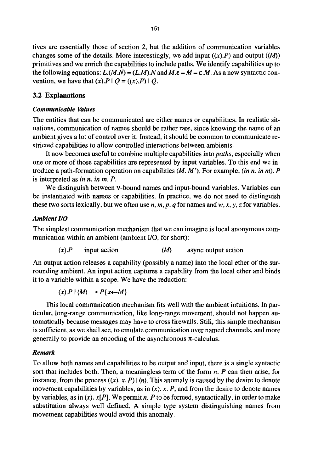tives are essentially those of section 2, but the addition of communication variables changes some of the details. More interestingly, we add input  $((x).P)$  and output  $((M))$ primitives and we enrich the capabilities to include paths. We identify capabilities up to the following equations:  $L(M.N) = (L.M) \cdot N$  and  $M.E = M = E.M$ . As a new syntactic convention, we have that  $(x)$ . $P \mid Q = ((x)$ . $P) \mid Q$ .

## **3.2 Explanations**

### *Communicable Values*

The entities that can be communicated are either names or capabilities. In realistic situations, communication of names should be rather rare, since knowing the name of an ambient gives a lot of control over it. Instead, it should be common to communicate restricted capabilities to allow controlled interactions between ambients.

It now becomes useful to combine multiple capabilities into *paths,* especially when one or more of those capabilities are represented by input variables. To this end we introduce a path-formation operation on capabilities (M. M'). For example, *(in n. in m). P*  is interpreted as *in n. in m. P.* 

We distinguish between v-bound names and input-bound variables. Variables can be instantiated with names or capabilities. In practice, we do not need to distinguish these two sorts lexically, but we often use  $n, m, p, q$  for names and  $w, x, y, z$  for variables.

### *Ambient I/0*

The simplest communication mechanism that we can imagine is local anonymous communication within an ambient (ambient I/O, for short):

 $(x).P$  input action  $\langle M \rangle$  async output action

An output action releases a capability (possibly a name) into the local ether of the surrounding ambient. An input action captures a capability from the local ether and binds it to a variable within a scope. We have the reduction:

 $(x).P \mid \langle M \rangle \longrightarrow P\{x \leftarrow M\}$ 

This local communication mechanism fits well with the ambient intuitions. In particular, long-range communication, like long-range movement, should not happen automatically because messages may have to cross firewalls. Still, this simple mechanism is sufficient, as we shall see, to emulate communication over named channels, and more generally to provide an encoding of the asynchronous  $\pi$ -calculus.

### *Remark*

To allow both names and capabilities to be output and input, there is a single syntactic sort that includes both. Then, a meaningless term of the form  $n$ .  $P$  can then arise, for instance, from the process  $((x), x, P)$   $(n)$ . This anomaly is caused by the desire to denote movement capabilities by variables, as in  $(x)$ . x. P, and from the desire to denote names by variables, as in  $(x)$ .  $x[P]$ . We permit n. P to be formed, syntactically, in order to make substitution always well defined. A simple type system distinguishing names from movement capabilities would avoid this anomaly.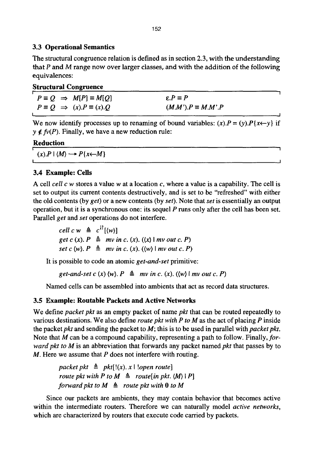### **3.3 Operational Semantics**

The structural congruence relation is defined as in section 2.3, with the understanding that  $P$  and  $M$  range now over larger classes, and with the addition of the following equivalences:

### Structural **Congruence**

r  $P \equiv Q \Rightarrow M[P] \equiv M[Q] \qquad \qquad \varepsilon.P \equiv P$  $P \equiv Q \Rightarrow (x).P \equiv (x).Q \quad (M.M')$ . $P \equiv M.M'.P$ 

*i I*  We now identify processes up to renaming of bound variables:  $(x) \cdot P = (y) \cdot P\{x \leftarrow y\}$  if  $y \notin f_V(P)$ . Finally, we have a new reduction rule:

**اب**يد كالاست. كانترنت المستخدمات المستخدمات المستخدمات المستخدمات المستخدمات المستخدمات المستخدمات المستخدمات المستخدمات

## **Reduction**

 $\bigcup_{i=1}^{n} (x) \cdot P \{x \leftarrow M\}$ 

# **3.4 Example: Cells**

A cell *cell c w* stores a value w at a location c, where a value is a capability. The cell is set to output its current contents destructively, and is set to be "refreshed" with either the old contents (by *get)* or a new contents (by *set).* Note that *set* is essentially an output operation, but it is a synchronous one: its sequel  $P$  runs only after the cell has been set. Parallel *get* and *set* operations do not interfere.

> $cell c w \triangleq c^{\{\}}[\langle w \rangle]$ *get c (x).*  $P \triangleq mv$  *in c. (x). ((x) I mv out c. P) set c (w).*  $P \triangleq mv$  *in c. (x). ((w) I mv out c. P)*

It is possible to code an atomic *get-and-set* primitive:

*get-and-set c (x) (w).*  $P \triangleq mv$  *in c. (x). ((w) I mv out c. P)* 

Named cells can be assembled into ambients that act as record data structures.

### **3.5 Example: Routable Packets and Active Networks**

We define *packet pkt* as an empty packet of name *pkt* that can be routed repeatedly to various destinations. We also define *route pkt with P to M* as the act of placing P inside the *packetpkt* and sending the packet to M; this is to be used in parallel *with packet pkt.*  Note that M can be a compound capability, representing a path to follow. Finally, *forward pkt to M* is an abbreviation that forwards any packet named *pkt* that passes by to  $M$ . Here we assume that  $P$  does not interfere with routing.

> *packet pkt*  $\triangleq$  *pkt*[!(x), x *I !open route*] *route pkt with P to M*  $\triangleq$  *route*[*in pkt.*  $\langle M \rangle$  *i P*] *forward pkt to M*  $\triangleq$  *route pkt with* 0 to M

Since our packets are ambients, they may contain behavior that becomes active within the intermediate routers. Therefore we can naturally model *active networks,*  which are characterized by routers that execute code carried by packets.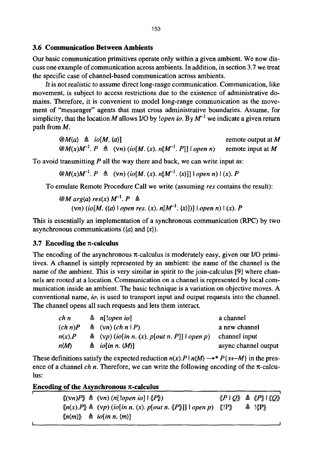### **3.6 Communication Between Ambients**

Our basic communication primitives operate only within a given ambient. We now discuss one example of communication across ambients. In addition, in section 3.7 we treat the specific case of channel-based communication across ambients.

It is not realistic to assume direct long-range communication. Communication, like movement, is subject to access restrictions due to the existence of administrative domains. Therefore, it is convenient to model long-range communication as the movement of "messenger" agents that must cross administrative boundaries. Assume, for simplicity, that the location M allows I/O by *lopen io*. By  $M^{-1}$  we indicate a given return path from M.

> $\omega(M(a) \triangleq i\sigma[M, \{a\}]$  remote output at M  $\mathcal{Q}_m(x)M^{-1}$ .  $P \triangleq$  (vn)  $(i\sigma[M](x), n[M^{-1}, P]]$  *open n*) remote input at M

To avoid transmitting  $P$  all the way there and back, we can write input as:

 $\mathcal{M}(x)M^{-1}$ .  $P \triangleq$  (vn)  $(i\circ[M,(x), n[M^{-1}, (x)]] \mid open \; n) \mid (x)$ . P

To emulate Remote Procedure Call we write (assuming *res* contains the result):

$$
\mathcal{Q}M \, arg\langle a \rangle \, res(x) \, M^{-1}. \, P \triangleq
$$
  
(vn) (io[M. ((a) | open res. (x). n[M<sup>-1</sup>. (x)]) | open n) | (x). P

This is essentially an implementation of a synchronous communication (RPC) by two asynchronous communications  $(\langle a \rangle$  and  $\langle x \rangle)$ .

### **3.7 Encoding the n.calculus**

The encoding of the asynchronous  $\pi$ -calculus is moderately easy, given our I/O primitives. A channel is simply represented by an ambient: the name of the channel is the name of the ambient. This is very similar in spirit to the join-calculus [9] where channels are rooted at a location. Communication on a channel is represented by local communication inside an ambient. The basic technique is a variation on objective moves. A conventional name, *io,* is used to transport input and output requests into the channel. The channel opens all such requests and lets them interact.

| $\ch n$             | $\triangleq n$ [!open io]                               | a channel            |
|---------------------|---------------------------------------------------------|----------------------|
| (chn)P              | $\triangle$ (vn) $(ch n   P)$                           | a new channel        |
| $n(x)$ . $P$        | $\triangleq$ (vp) (io[in n. (x). p[out n. P]]   open p) | channel input        |
| $n\langle M\rangle$ | $\triangleq$ io [in n. $\langle M \rangle$ ]            | async channel output |

These definitions satisfy the expected reduction  $n(x) \cdot P \mid n \langle M \rangle \longrightarrow^* P \{x \leftarrow M\}$  in the presence of a channel *ch n*. Therefore, we can write the following encoding of the  $\pi$ -calculus:

*I I* 

**Encoding of the Asynchronous**  $\pi$ **-calculus** 

 $\langle \langle (vn)P \rangle \triangleq \langle \langle vn \rangle (n[!open \; io] \mid \langle P \rangle] \rangle$   $\langle \langle P | Q \rangle \triangleq \langle P \rangle \mid \langle Q \rangle$  $\langle n(x), P \rangle \triangleq (vp) (io[in n. (x), p[out n. \langle P \rangle]] | open p) \langle P \rangle \triangleq ! \langle P \rangle$  $\langle n(m) \rangle \triangleq i\sigma$ [*in n.*  $\langle m \rangle$ ]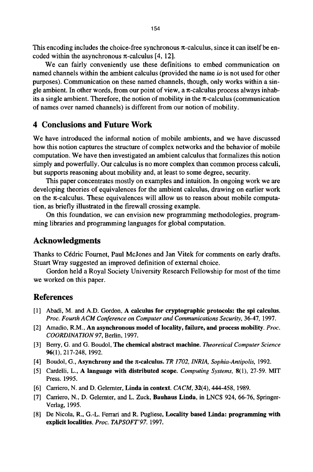This encoding includes the choice-free synchronous  $\pi$ -calculus, since it can itself be encoded within the asynchronous  $\pi$ -calculus [4, 12].

We can fairly conveniently use these definitions to embed communication on named channels within the ambient calculus (provided the name *io* is not used for other purposes). Communication on these named channels, though, only works within a single ambient. In other words, from our point of view, a  $\pi$ -calculus process always inhabits a single ambient. Therefore, the notion of mobility in the  $\pi$ -calculus (communication of names over named channels) is different from our notion of mobility.

### **4 Conclusions and Future Work**

We have introduced the informal notion of mobile ambients, and we have discussed how this notion captures the structure of complex networks and the behavior of mobile computation. We have then investigated an ambient calculus that formalizes this notion simply and powerfully. Our calculus is no more complex than common process calculi, but supports reasoning about mobility and, at least to some degree, security.

This paper concentrates mostly on examples and intuition. In ongoing work we are developing theories of equivalences for the ambient calculus, drawing on earlier work on the  $\pi$ -calculus. These equivalences will allow us to reason about mobile computation, as briefly illustrated in the firewall crossing example.

On this foundation, we can envision new programming methodologies, programming libraries and programming languages for global computation.

### **Acknowledgments**

Thanks to Cédric Fournet, Paul McJones and Jan Vitek for comments on early drafts. Stuart Wray suggested an improved definition of external choice.

Gordon held a Royal Society University Research Fellowship for most of the time we worked on this paper.

# **References**

- [I] Abadi, M. and A.D. Gordon, A **calculus for cryptographic protocols: the spi calculus.**  *Proc. Fourth A CM Conference on Computer and Communications Security,* 36-47, 1997.
- [2] Amadio, R.M., An **asynchronous model of** locality, failure, **and process** mobility. *Proc. COORDINATION 97,* Berlin, 1997.
- [3] Berry, G. and G. Boudol, The chemical abstract machine. *Theoretical Computer Science*  96(1), 217-248, 1992.
- [4] Boudol, G., **Asynchrony and** the n-calculus. *TR 1702, INRIA, Sophia-Antipolis,* 1992.
- [5] Cardelli, L., A language with **distributed scope.** *Computing Systems,* 8(1), 27-59. MIT Press. 1995.
- [6] Carriero, N. and D. Gelemter, Linda in context. *CACM,* 32(4), 444-458, 1989.
- [7] Carriero, N., D. Gelernter, and L. Zuck, Bauhaus Linda, in LNCS 924, 66-76, Springer-Verlag, 1995.
- [8] De Nicola, R., G.-L. Ferrari and R. Pugliese, Locality **based Linda:** programming with explicit localities. *Proc. TAPSOFT'97.* 1997.